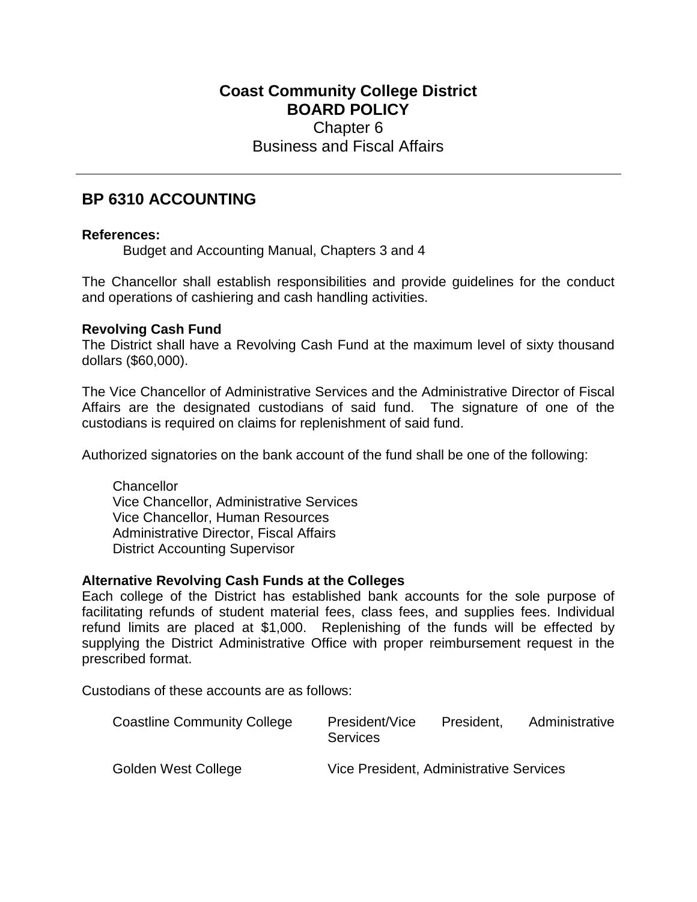## **Coast Community College District BOARD POLICY** Chapter 6 Business and Fiscal Affairs

# **BP 6310 ACCOUNTING**

### **References:**

Budget and Accounting Manual, Chapters 3 and 4

The Chancellor shall establish responsibilities and provide guidelines for the conduct and operations of cashiering and cash handling activities.

### **Revolving Cash Fund**

The District shall have a Revolving Cash Fund at the maximum level of sixty thousand dollars (\$60,000).

The Vice Chancellor of Administrative Services and the Administrative Director of Fiscal Affairs are the designated custodians of said fund. The signature of one of the custodians is required on claims for replenishment of said fund.

Authorized signatories on the bank account of the fund shall be one of the following:

**Chancellor** Vice Chancellor, Administrative Services Vice Chancellor, Human Resources Administrative Director, Fiscal Affairs District Accounting Supervisor

### **Alternative Revolving Cash Funds at the Colleges**

Each college of the District has established bank accounts for the sole purpose of facilitating refunds of student material fees, class fees, and supplies fees. Individual refund limits are placed at \$1,000. Replenishing of the funds will be effected by supplying the District Administrative Office with proper reimbursement request in the prescribed format.

Custodians of these accounts are as follows:

| <b>Coastline Community College</b> | President/Vice<br><b>Services</b>       | President, | Administrative |
|------------------------------------|-----------------------------------------|------------|----------------|
| Golden West College                | Vice President, Administrative Services |            |                |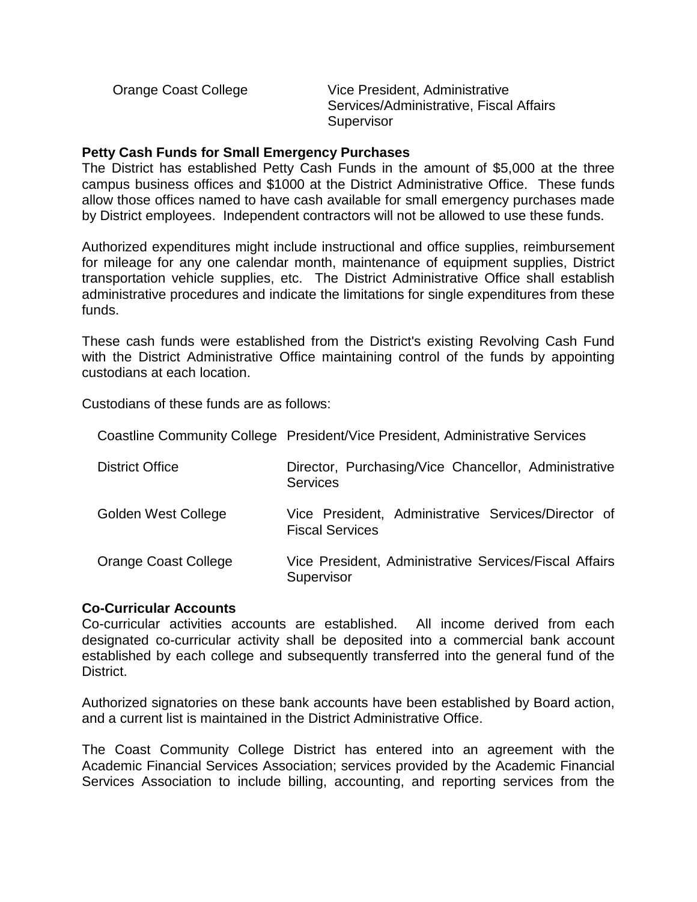Orange Coast College Vice President, Administrative Services/Administrative, Fiscal Affairs **Supervisor** 

#### **Petty Cash Funds for Small Emergency Purchases**

The District has established Petty Cash Funds in the amount of \$5,000 at the three campus business offices and \$1000 at the District Administrative Office. These funds allow those offices named to have cash available for small emergency purchases made by District employees. Independent contractors will not be allowed to use these funds.

Authorized expenditures might include instructional and office supplies, reimbursement for mileage for any one calendar month, maintenance of equipment supplies, District transportation vehicle supplies, etc. The District Administrative Office shall establish administrative procedures and indicate the limitations for single expenditures from these funds.

These cash funds were established from the District's existing Revolving Cash Fund with the District Administrative Office maintaining control of the funds by appointing custodians at each location.

Coastline Community College President/Vice President, Administrative Services

Custodians of these funds are as follows:

| <b>District Office</b>     | Director, Purchasing/Vice Chancellor, Administrative<br><b>Services</b>       |
|----------------------------|-------------------------------------------------------------------------------|
| <b>Golden West College</b> | Vice President, Administrative Services/Director of<br><b>Fiscal Services</b> |
| Orange Coast College       | Vice President, Administrative Services/Fiscal Affairs<br>Supervisor          |

### **Co-Curricular Accounts**

Co-curricular activities accounts are established. All income derived from each designated co-curricular activity shall be deposited into a commercial bank account established by each college and subsequently transferred into the general fund of the District.

Authorized signatories on these bank accounts have been established by Board action, and a current list is maintained in the District Administrative Office.

The Coast Community College District has entered into an agreement with the Academic Financial Services Association; services provided by the Academic Financial Services Association to include billing, accounting, and reporting services from the